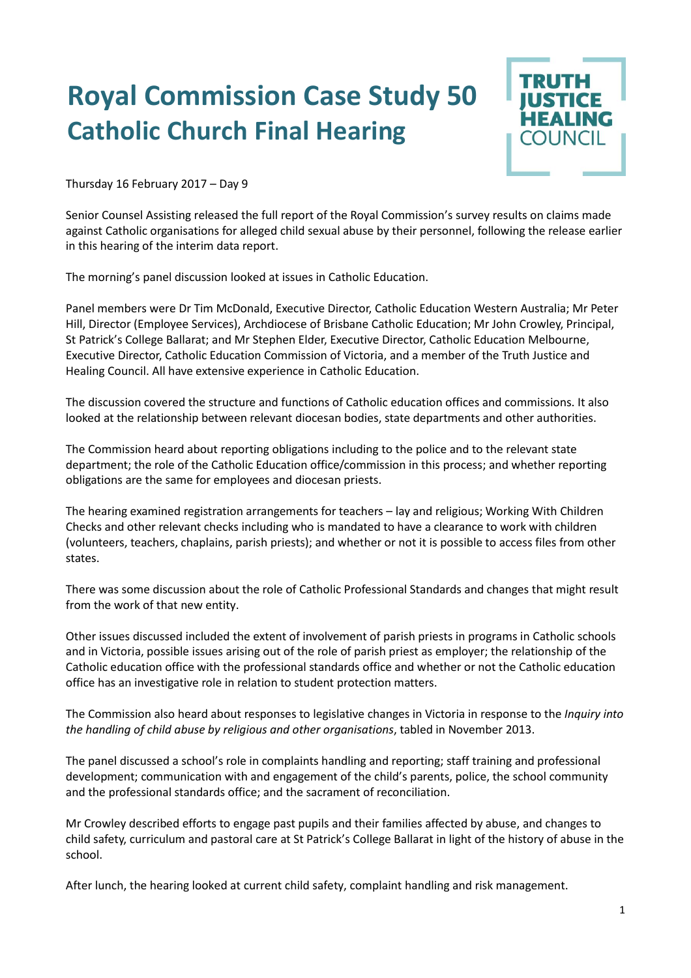## **Royal Commission Case Study 50 Catholic Church Final Hearing**



Thursday 16 February 2017 – Day 9

Senior Counsel Assisting released the full report of the Royal Commission's survey results on claims made against Catholic organisations for alleged child sexual abuse by their personnel, following the release earlier in this hearing of the interim data report.

The morning's panel discussion looked at issues in Catholic Education.

Panel members were Dr Tim McDonald, Executive Director, Catholic Education Western Australia; Mr Peter Hill, Director (Employee Services), Archdiocese of Brisbane Catholic Education; Mr John Crowley, Principal, St Patrick's College Ballarat; and Mr Stephen Elder, Executive Director, Catholic Education Melbourne, Executive Director, Catholic Education Commission of Victoria, and a member of the Truth Justice and Healing Council. All have extensive experience in Catholic Education.

The discussion covered the structure and functions of Catholic education offices and commissions. It also looked at the relationship between relevant diocesan bodies, state departments and other authorities.

The Commission heard about reporting obligations including to the police and to the relevant state department; the role of the Catholic Education office/commission in this process; and whether reporting obligations are the same for employees and diocesan priests.

The hearing examined registration arrangements for teachers – lay and religious; Working With Children Checks and other relevant checks including who is mandated to have a clearance to work with children (volunteers, teachers, chaplains, parish priests); and whether or not it is possible to access files from other states.

There was some discussion about the role of Catholic Professional Standards and changes that might result from the work of that new entity.

Other issues discussed included the extent of involvement of parish priests in programs in Catholic schools and in Victoria, possible issues arising out of the role of parish priest as employer; the relationship of the Catholic education office with the professional standards office and whether or not the Catholic education office has an investigative role in relation to student protection matters.

The Commission also heard about responses to legislative changes in Victoria in response to the *Inquiry into the handling of child abuse by religious and other organisations*, tabled in November 2013.

The panel discussed a school's role in complaints handling and reporting; staff training and professional development; communication with and engagement of the child's parents, police, the school community and the professional standards office; and the sacrament of reconciliation.

Mr Crowley described efforts to engage past pupils and their families affected by abuse, and changes to child safety, curriculum and pastoral care at St Patrick's College Ballarat in light of the history of abuse in the school.

After lunch, the hearing looked at current child safety, complaint handling and risk management.